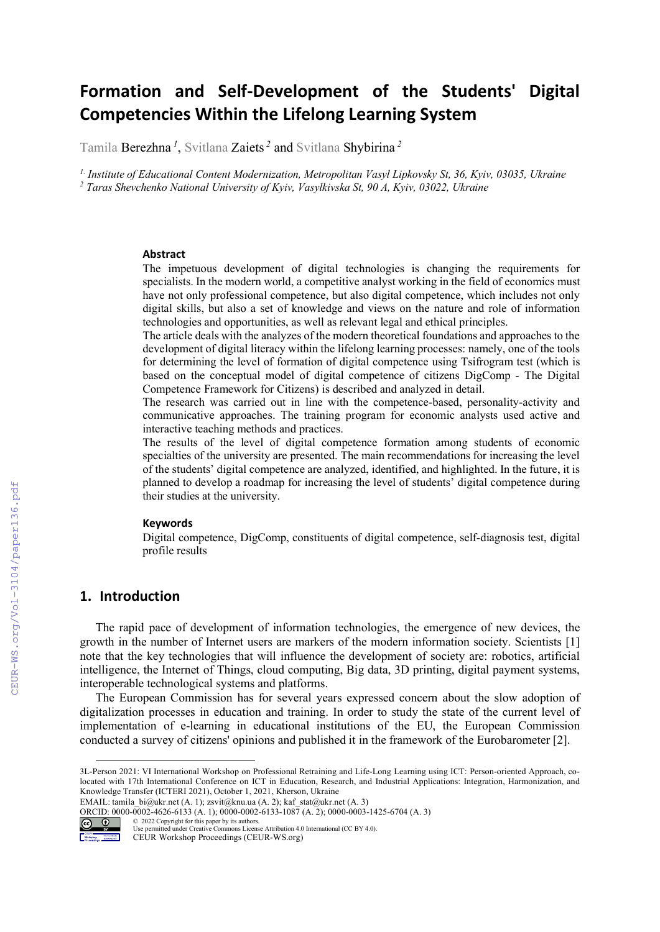# Formation and Self-Development of the Students' Digital Competencies Within the Lifelong Learning System

Tamila Berezhna*<sup>1</sup>*, Svitlana Zaiets*<sup>2</sup>* and Svitlana Shybirina *<sup>2</sup>*

*1. Institute of Educational Content Modernization, Metropolitan Vasyl Lipkovsky St, 36, Kyiv, 03035, Ukraine* <sup>2</sup> Taras Shevchenko National University of Kyiv, Vasylkivska St, 90 A, Kyiv, 03022, Ukraine

#### Abstract

The impetuous development of digital technologies is changing the requirements for specialists. In the modern world, a competitive analyst working in the field of economics must have not only professional competence, but also digital competence, which includes not only digital skills, but also a set of knowledge and views on the nature and role of information technologies and opportunities, as well as relevant legal and ethical principles.

The article deals with the analyzes of the modern theoretical foundations and approaches to the development of digital literacy within the lifelong learning processes: namely, one of the tools for determining the level of formation of digital competence using Tsifrogram test (which is based on the conceptual model of digital competence of citizens DigComp - The Digital Competence Framework for Citizens) is described and analyzed in detail.

The research was carried out in line with the competence-based, personality-activity and communicative approaches. The training program for economic analysts used active and interactive teaching methods and practices.

The results of the level of digital competence formation among students of economic specialties of the university are presented. The main recommendations for increasing the level of the students' digital competence are analyzed, identified, and highlighted. In the future, it is planned to develop a roadmap for increasing the level of students' digital competence during their studies at the university.

#### **Keywords**

Digital competence, DigComp, constituents of digital competence, self-diagnosis test, digital profile results

## 1. Introduction

The rapid pace of development of information technologies, the emergence of new devices, the growth in the number of Internet users are markers of the modern information society. Scientists [1] note that the key technologies that will influence the development of society are: robotics, artificial intelligence, the Internet of Things, cloud computing, Big data, 3D printing, digital payment systems, interoperable technological systems and platforms.

The European Commission has for several years expressed concern about the slow adoption of digitalization processes in education and training. In order to study the state of the current level of implementation of e-learning in educational institutions of the EU, the European Commission conducted a survey of citizens' opinions and published it in the framework of the Eurobarometer [2].

ORCID: 0000-0002-4626-6133 (A. 1); 0000-0002-6133-1087 (A. 2); 0000-0003-1425-6704 (A. 3)<br>  $\bigodot$  0 2022 Copyright for this paper by its authors.



<sup>© 2022</sup> Copyright for this paper by its authors. Use permitted under Creative Commons License Attribution 4.0 International (CC BY 4.0).

<sup>3</sup>L-Person 2021: VI International Workshop on Professional Retraining and Life-Long Learning using ICT: Person-oriented Approach, colocated with 17th International Conference on ICT in Education, Research, and Industrial Applications: Integration, Harmonization, and Knowledge Transfer (ICTERI 2021), October 1, 2021, Kherson, Ukraine

EMAIL: tamila\_bi@ukr.net (A. 1); zsvit@knu.ua (A. 2); kaf\_stat@ukr.net (A. 3)

**DESCRIPTION** CEUR Workshop Proceedings (CEUR-WS.org)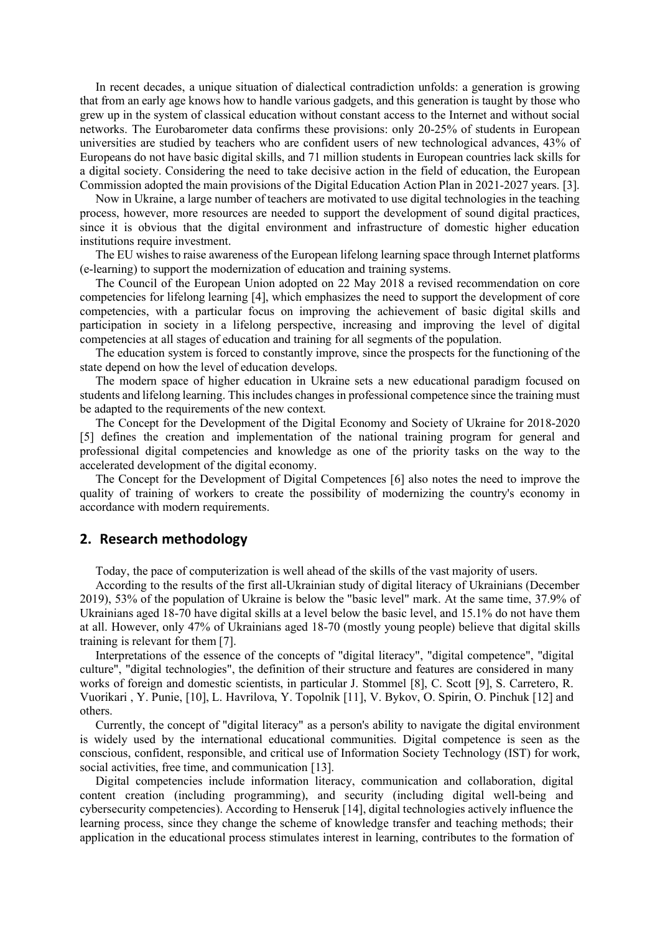In recent decades, a unique situation of dialectical contradiction unfolds: a generation is growing that from an early age knows how to handle various gadgets, and this generation is taught by those who grew up in the system of classical education without constant access to the Internet and without social networks. The Eurobarometer data confirms these provisions: only 20-25% of students in European universities are studied by teachers who are confident users of new technological advances, 43% of Europeans do not have basic digital skills, and 71 million students in European countries lack skills for a digital society. Considering the need to take decisive action in the field of education, the European Commission adopted the main provisions of the Digital Education Action Plan in 2021-2027 years. [3].

Now in Ukraine, a large number of teachers are motivated to use digital technologies in the teaching process, however, more resources are needed to support the development of sound digital practices, since it is obvious that the digital environment and infrastructure of domestic higher education institutions require investment.

The EU wishes to raise awareness of the European lifelong learning space through Internet platforms (e-learning) to support the modernization of education and training systems.

The Council of the European Union adopted on 22 May 2018 a revised recommendation on core competencies for lifelong learning [4], which emphasizes the need to support the development of core competencies, with a particular focus on improving the achievement of basic digital skills and participation in society in a lifelong perspective, increasing and improving the level of digital competencies at all stages of education and training for all segments of the population.

The education system is forced to constantly improve, since the prospects for the functioning of the state depend on how the level of education develops.

The modern space of higher education in Ukraine sets a new educational paradigm focused on students and lifelong learning. This includes changes in professional competence since the training must be adapted to the requirements of the new context.

The Concept for the Development of the Digital Economy and Society of Ukraine for 2018-2020 [5] defines the creation and implementation of the national training program for general and professional digital competencies and knowledge as one of the priority tasks on the way to the accelerated development of the digital economy.

The Concept for the Development of Digital Competences [6] also notes the need to improve the quality of training of workers to create the possibility of modernizing the country's economy in accordance with modern requirements.

# 2. Research methodology

Today, the pace of computerization is well ahead of the skills of the vast majority of users.

According to the results of the first all-Ukrainian study of digital literacy of Ukrainians (December 2019), 53% of the population of Ukraine is below the "basic level" mark. At the same time, 37.9% of Ukrainians aged 18-70 have digital skills at a level below the basic level, and 15.1% do not have them at all. However, only 47% of Ukrainians aged 18-70 (mostly young people) believe that digital skills training is relevant for them [7].

Interpretations of the essence of the concepts of "digital literacy", "digital competence", "digital culture", "digital technologies", the definition of their structure and features are considered in many works of foreign and domestic scientists, in particular J. Stommel [8], C. Scott [9], S. Carretero, R. Vuorikari , Y. Punie, [10], L. Havrilova, Y. Topolnik [11], V. Bykov, O. Spirin, O. Pinchuk [12] and others.

Currently, the concept of "digital literacy" as a person's ability to navigate the digital environment is widely used by the international educational communities. Digital competence is seen as the conscious, confident, responsible, and critical use of Information Society Technology (IST) for work, social activities, free time, and communication [13].

Digital competencies include information literacy, communication and collaboration, digital content creation (including programming), and security (including digital well-being and cybersecurity competencies). According to Henseruk [14], digital technologies actively influence the learning process, since they change the scheme of knowledge transfer and teaching methods; their application in the educational process stimulates interest in learning, contributes to the formation of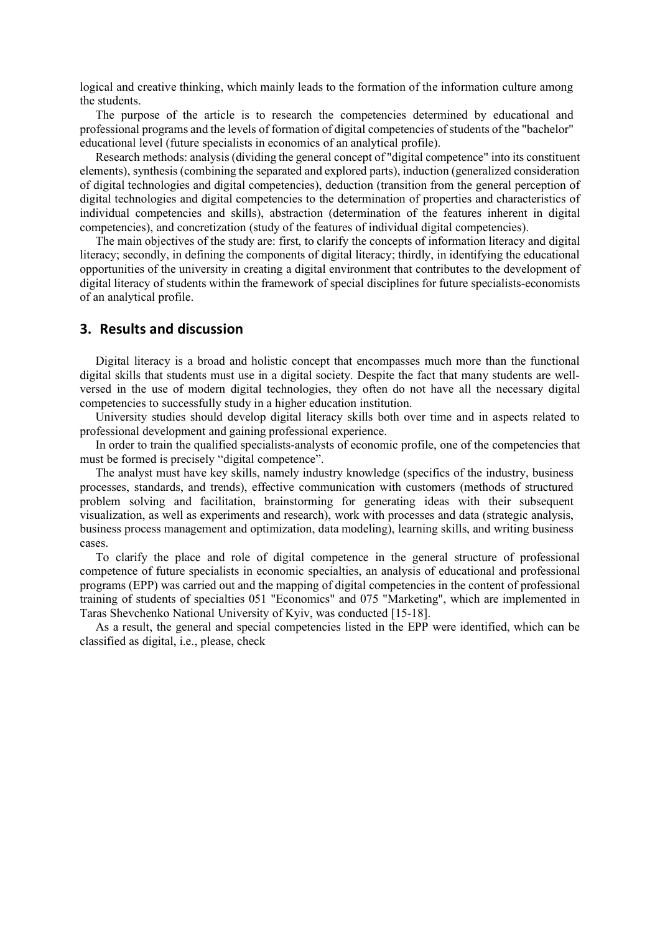logical and creative thinking, which mainly leads to the formation of the information culture among the students.

The purpose of the article is to research the competencies determined by educational and professional programs and the levels of formation of digital competencies of students of the "bachelor" educational level (future specialists in economics of an analytical profile).

Research methods: analysis (dividing the general concept of "digital competence" into its constituent elements), synthesis (combining the separated and explored parts), induction (generalized consideration of digital technologies and digital competencies), deduction (transition from the general perception of digital technologies and digital competencies to the determination of properties and characteristics of individual competencies and skills), abstraction (determination of the features inherent in digital competencies), and concretization (study of the features of individual digital competencies).

The main objectives of the study are: first, to clarify the concepts of information literacy and digital literacy; secondly, in defining the components of digital literacy; thirdly, in identifying the educational opportunities of the university in creating a digital environment that contributes to the development of digital literacy of students within the framework of special disciplines for future specialists-economists of an analytical profile.

# 3. Results and discussion

Digital literacy is a broad and holistic concept that encompasses much more than the functional digital skills that students must use in a digital society. Despite the fact that many students are wellversed in the use of modern digital technologies, they often do not have all the necessary digital competencies to successfully study in a higher education institution.

University studies should develop digital literacy skills both over time and in aspects related to professional development and gaining professional experience.

In order to train the qualified specialists-analysts of economic profile, one of the competencies that must be formed is precisely "digital competence".

The analyst must have key skills, namely industry knowledge (specifics of the industry, business processes, standards, and trends), effective communication with customers (methods of structured problem solving and facilitation, brainstorming for generating ideas with their subsequent visualization, as well as experiments and research), work with processes and data (strategic analysis, business process management and optimization, data modeling), learning skills, and writing business cases.

To clarify the place and role of digital competence in the general structure of professional competence of future specialists in economic specialties, an analysis of educational and professional programs (EPP) was carried out and the mapping of digital competencies in the content of professional training of students of specialties 051 "Economics" and 075 "Marketing", which are implemented in Taras Shevchenko National University of Kyiv, was conducted [15-18].

As a result, the general and special competencies listed in the EPP were identified, which can be classified as digital, i.e., please, check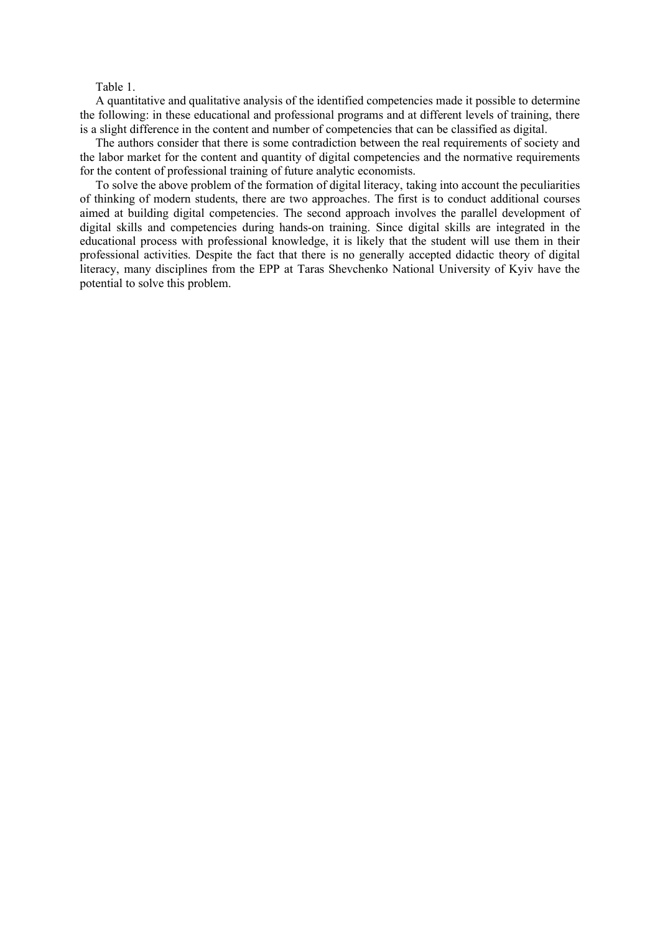#### Table 1.

A quantitative and qualitative analysis of the identified competencies made it possible to determine the following: in these educational and professional programs and at different levels of training, there is a slight difference in the content and number of competencies that can be classified as digital.

The authors consider that there is some contradiction between the real requirements of society and the labor market for the content and quantity of digital competencies and the normative requirements for the content of professional training of future analytic economists.

To solve the above problem of the formation of digital literacy, taking into account the peculiarities of thinking of modern students, there are two approaches. The first is to conduct additional courses aimed at building digital competencies. The second approach involves the parallel development of digital skills and competencies during hands-on training. Since digital skills are integrated in the educational process with professional knowledge, it is likely that the student will use them in their professional activities. Despite the fact that there is no generally accepted didactic theory of digital literacy, many disciplines from the EPP at Taras Shevchenko National University of Kyiv have the potential to solve this problem.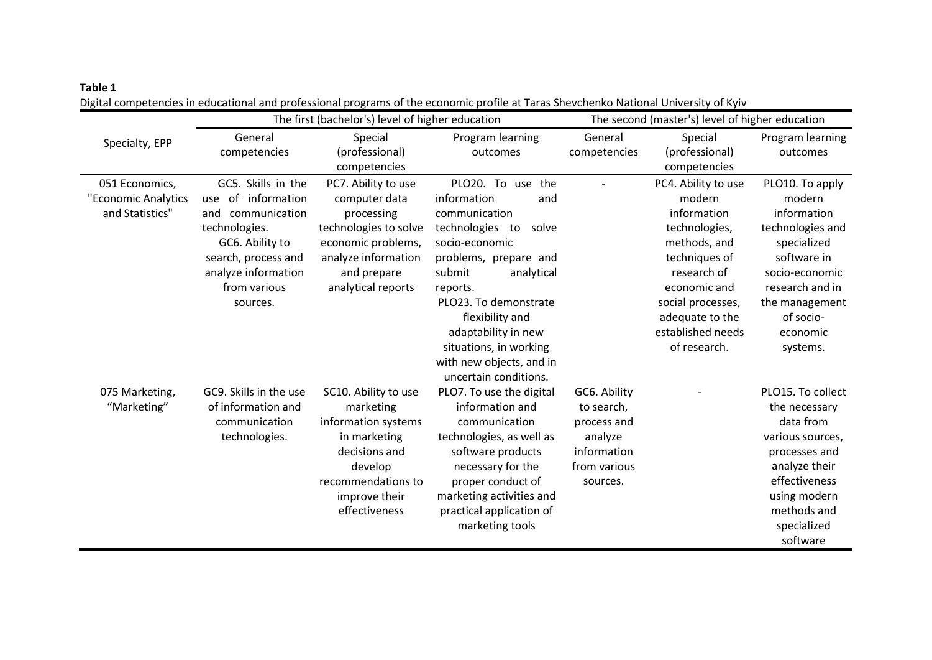# Table 1

Digital competencies in educational and professional programs of the economic profile at Taras Shevchenko National University of Kyiv

|                     |                        | The first (bachelor's) level of higher education |                          | The second (master's) level of higher education |                     |                         |
|---------------------|------------------------|--------------------------------------------------|--------------------------|-------------------------------------------------|---------------------|-------------------------|
| Specialty, EPP      | General                | Special                                          | Program learning         | General                                         | Special             | Program learning        |
|                     | competencies           | (professional)                                   | outcomes                 | competencies                                    | (professional)      | outcomes                |
|                     |                        | competencies                                     |                          |                                                 | competencies        |                         |
| 051 Economics,      | GC5. Skills in the     | PC7. Ability to use                              | PLO20. To use<br>the     |                                                 | PC4. Ability to use | PLO10. To apply         |
| "Economic Analytics | use of information     | computer data                                    | information<br>and       |                                                 | modern              | modern                  |
| and Statistics"     | and communication      | processing                                       | communication            |                                                 | information         | information             |
|                     | technologies.          | technologies to solve                            | technologies to<br>solve |                                                 | technologies,       | technologies and        |
|                     | GC6. Ability to        | economic problems,                               | socio-economic           |                                                 | methods, and        | specialized             |
|                     | search, process and    | analyze information                              | problems, prepare and    |                                                 | techniques of       | software in             |
|                     | analyze information    | and prepare                                      | submit<br>analytical     |                                                 | research of         | socio-economic          |
|                     | from various           | analytical reports                               | reports.                 |                                                 | economic and        | research and in         |
|                     | sources.               |                                                  | PLO23. To demonstrate    |                                                 | social processes,   | the management          |
|                     |                        |                                                  | flexibility and          |                                                 | adequate to the     | of socio-               |
|                     |                        |                                                  | adaptability in new      |                                                 | established needs   | economic                |
|                     |                        |                                                  | situations, in working   |                                                 | of research.        | systems.                |
|                     |                        |                                                  | with new objects, and in |                                                 |                     |                         |
|                     |                        |                                                  | uncertain conditions.    |                                                 |                     |                         |
| 075 Marketing,      | GC9. Skills in the use | SC10. Ability to use                             | PLO7. To use the digital | GC6. Ability                                    |                     | PLO15. To collect       |
| "Marketing"         | of information and     | marketing                                        | information and          | to search,                                      |                     | the necessary           |
|                     | communication          | information systems                              | communication            | process and                                     |                     | data from               |
|                     | technologies.          | in marketing                                     | technologies, as well as | analyze                                         |                     | various sources,        |
|                     |                        | decisions and                                    | software products        | information                                     |                     | processes and           |
|                     |                        | develop                                          | necessary for the        | from various                                    |                     | analyze their           |
|                     |                        | recommendations to                               | proper conduct of        | sources.                                        |                     | effectiveness           |
|                     |                        | improve their                                    | marketing activities and |                                                 |                     | using modern            |
|                     |                        | effectiveness                                    | practical application of |                                                 |                     | methods and             |
|                     |                        |                                                  | marketing tools          |                                                 |                     | specialized<br>software |
|                     |                        |                                                  |                          |                                                 |                     |                         |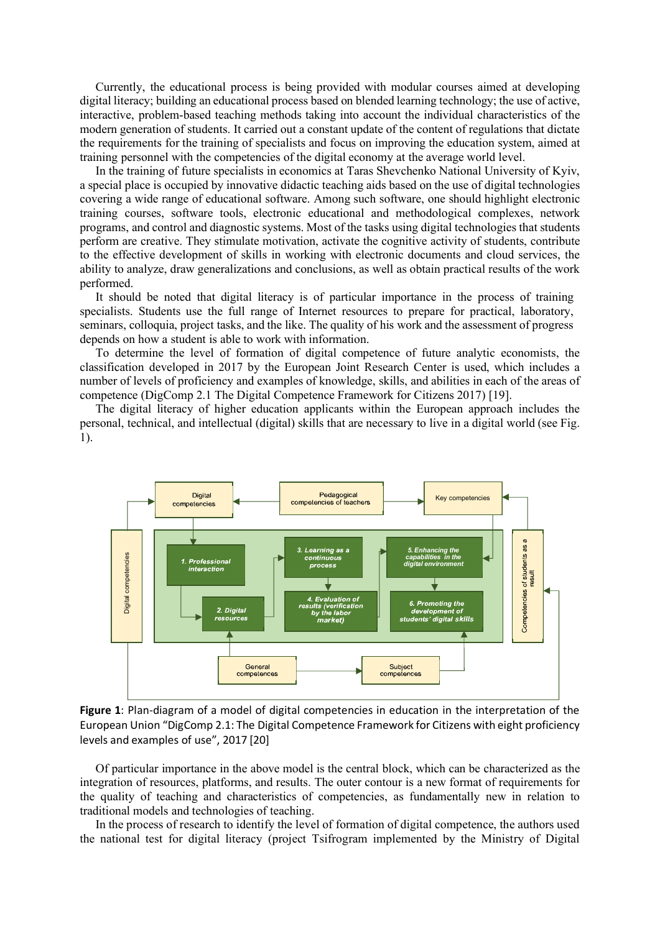Currently, the educational process is being provided with modular courses aimed at developing digital literacy; building an educational process based on blended learning technology; the use of active, interactive, problem-based teaching methods taking into account the individual characteristics of the modern generation of students. It carried out a constant update of the content of regulations that dictate the requirements for the training of specialists and focus on improving the education system, aimed at training personnel with the competencies of the digital economy at the average world level.

In the training of future specialists in economics at Taras Shevchenko National University of Kyiv, a special place is occupied by innovative didactic teaching aids based on the use of digital technologies covering a wide range of educational software. Among such software, one should highlight electronic training courses, software tools, electronic educational and methodological complexes, network programs, and control and diagnostic systems. Most of the tasks using digital technologies that students perform are creative. They stimulate motivation, activate the cognitive activity of students, contribute to the effective development of skills in working with electronic documents and cloud services, the ability to analyze, draw generalizations and conclusions, as well as obtain practical results of the work performed.

It should be noted that digital literacy is of particular importance in the process of training specialists. Students use the full range of Internet resources to prepare for practical, laboratory, seminars, colloquia, project tasks, and the like. The quality of his work and the assessment of progress depends on how a student is able to work with information.

To determine the level of formation of digital competence of future analytic economists, the classification developed in 2017 by the European Joint Research Center is used, which includes a number of levels of proficiency and examples of knowledge, skills, and abilities in each of the areas of competence (DigComp 2.1 The Digital Competence Framework for Citizens 2017) [19].

The digital literacy of higher education applicants within the European approach includes the personal, technical, and intellectual (digital) skills that are necessary to live in a digital world (see Fig. 1).



Figure 1: Plan-diagram of a model of digital competencies in education in the interpretation of the European Union "DigComp 2.1: The Digital Competence Framework for Citizens with eight proficiency levels and examples of use", 2017 [20]

Of particular importance in the above model is the central block, which can be characterized as the integration of resources, platforms, and results. The outer contour is a new format of requirements for the quality of teaching and characteristics of competencies, as fundamentally new in relation to traditional models and technologies of teaching.

In the process of research to identify the level of formation of digital competence, the authors used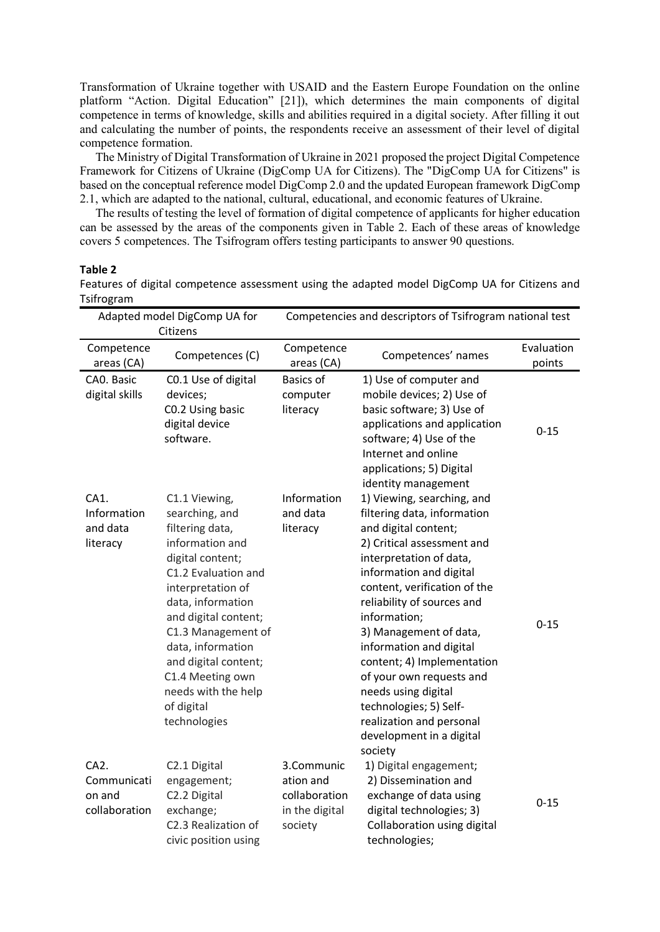Transformation of Ukraine together with USAID and the Eastern Europe Foundation on the online platform "Action. Digital Education" [21]), which determines the main components of digital competence in terms of knowledge, skills and abilities required in a digital society. After filling it out and calculating the number of points, the respondents receive an assessment of their level of digital competence formation.

The Ministry of Digital Transformation of Ukraine in 2021 proposed the project Digital Competence Framework for Citizens of Ukraine (DigComp UA for Citizens). The "DigComp UA for Citizens" is based on the conceptual reference model DigComp 2.0 and the updated European framework DigComp 2.1, which are adapted to the national, cultural, educational, and economic features of Ukraine.

The results of testing the level of formation of digital competence of applicants for higher education can be assessed by the areas of the components given in Table 2. Each of these areas of knowledge covers 5 competences. The Tsifrogram offers testing participants to answer 90 questions.

#### Table 2

Adapted model DigComp UA for Citizens Competencies and descriptors of Tsifrogram national test Competence Competence Competences (C) Competence<br>
areas (CA) areas (CA) Evaluation<br>Competences' names Evaluation points CA0. Basic digital skills C0.1 Use of digital devices; C0.2 Using basic digital device software. Basics of computer literacy 1) Use of computer and mobile devices; 2) Use of basic software; 3) Use of applications and application software; 4) Use of the Internet and online applications; 5) Digital identity management 0-15  $CA1$ . Information and data literacy C1.1 Viewing, searching, and filtering data, information and digital content; C1.2 Evaluation and interpretation of data, information and digital content; C1.3 Management of data, information and digital content; C1.4 Meeting own needs with the help of digital technologies Information and data literacy 1) Viewing, searching, and filtering data, information and digital content; 2) Critical assessment and interpretation of data, information and digital content, verification of the reliability of sources and information; 3) Management of data, information and digital content; 4) Implementation of your own requests and needs using digital technologies; 5) Selfrealization and personal development in a digital society 0-15  $C_A2$ . Communicati on and collaboration C2.1 Digital engagement; C2.2 Digital exchange; C2.3 Realization of civic position using 3.Communic ation and collaboration in the digital society 1) Digital engagement; 2) Dissemination and exchange of data using digital technologies; 3) Collaboration using digital technologies; 0-15

Features of digital competence assessment using the adapted model DigComp UA for Citizens and Tsifrogram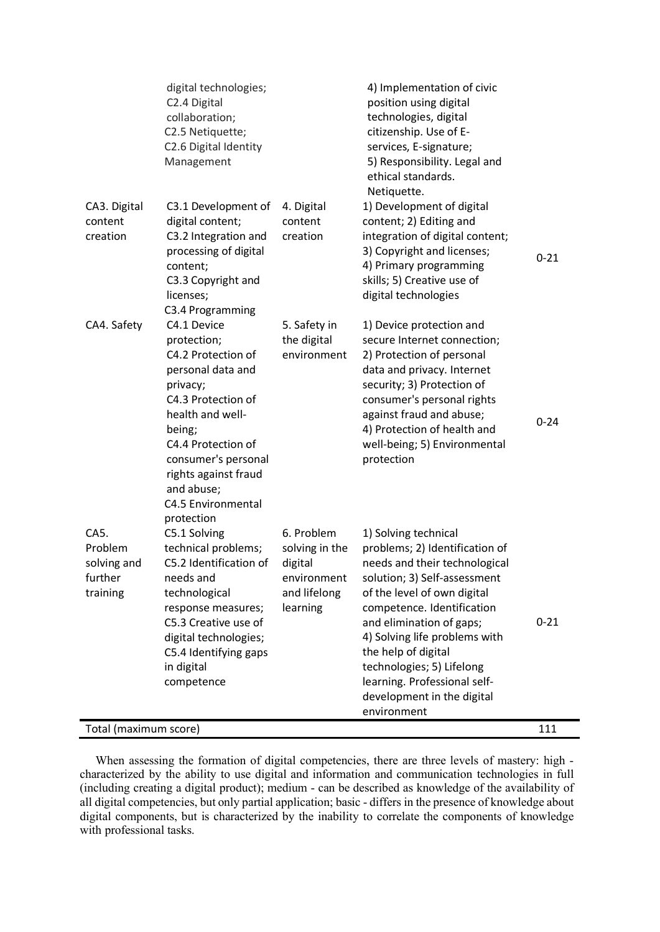|                                                       | digital technologies;<br>C2.4 Digital<br>collaboration;<br>C2.5 Netiquette;<br>C2.6 Digital Identity<br>Management                                                                                                                                                               |                                                                                    | 4) Implementation of civic<br>position using digital<br>technologies, digital<br>citizenship. Use of E-<br>services, E-signature;<br>5) Responsibility. Legal and<br>ethical standards.<br>Netiquette.                                                                                                                                                                             |          |  |  |
|-------------------------------------------------------|----------------------------------------------------------------------------------------------------------------------------------------------------------------------------------------------------------------------------------------------------------------------------------|------------------------------------------------------------------------------------|------------------------------------------------------------------------------------------------------------------------------------------------------------------------------------------------------------------------------------------------------------------------------------------------------------------------------------------------------------------------------------|----------|--|--|
| CA3. Digital<br>content<br>creation                   | C3.1 Development of<br>digital content;<br>C3.2 Integration and<br>processing of digital<br>content;<br>C3.3 Copyright and<br>licenses;                                                                                                                                          | 4. Digital<br>content<br>creation                                                  | 1) Development of digital<br>content; 2) Editing and<br>integration of digital content;<br>3) Copyright and licenses;<br>4) Primary programming<br>skills; 5) Creative use of<br>digital technologies                                                                                                                                                                              | $0 - 21$ |  |  |
| CA4. Safety                                           | C3.4 Programming<br>C4.1 Device<br>protection;<br>C4.2 Protection of<br>personal data and<br>privacy;<br>C4.3 Protection of<br>health and well-<br>being;<br>C4.4 Protection of<br>consumer's personal<br>rights against fraud<br>and abuse;<br>C4.5 Environmental<br>protection | 5. Safety in<br>the digital<br>environment                                         | 1) Device protection and<br>secure Internet connection;<br>2) Protection of personal<br>data and privacy. Internet<br>security; 3) Protection of<br>consumer's personal rights<br>against fraud and abuse;<br>4) Protection of health and<br>well-being; 5) Environmental<br>protection                                                                                            | $0 - 24$ |  |  |
| CA5.<br>Problem<br>solving and<br>further<br>training | C5.1 Solving<br>technical problems;<br>C5.2 Identification of<br>needs and<br>technological<br>response measures;<br>C5.3 Creative use of<br>digital technologies;<br>C5.4 Identifying gaps<br>in digital<br>competence                                                          | 6. Problem<br>solving in the<br>digital<br>environment<br>and lifelong<br>learning | 1) Solving technical<br>problems; 2) Identification of<br>needs and their technological<br>solution; 3) Self-assessment<br>of the level of own digital<br>competence. Identification<br>and elimination of gaps;<br>4) Solving life problems with<br>the help of digital<br>technologies; 5) Lifelong<br>learning. Professional self-<br>development in the digital<br>environment | $0 - 21$ |  |  |
| Total (maximum score)<br>111                          |                                                                                                                                                                                                                                                                                  |                                                                                    |                                                                                                                                                                                                                                                                                                                                                                                    |          |  |  |

When assessing the formation of digital competencies, there are three levels of mastery: high characterized by the ability to use digital and information and communication technologies in full (including creating a digital product); medium - can be described as knowledge of the availability of all digital competencies, but only partial application; basic - differs in the presence of knowledge about digital components, but is characterized by the inability to correlate the components of knowledge with professional tasks.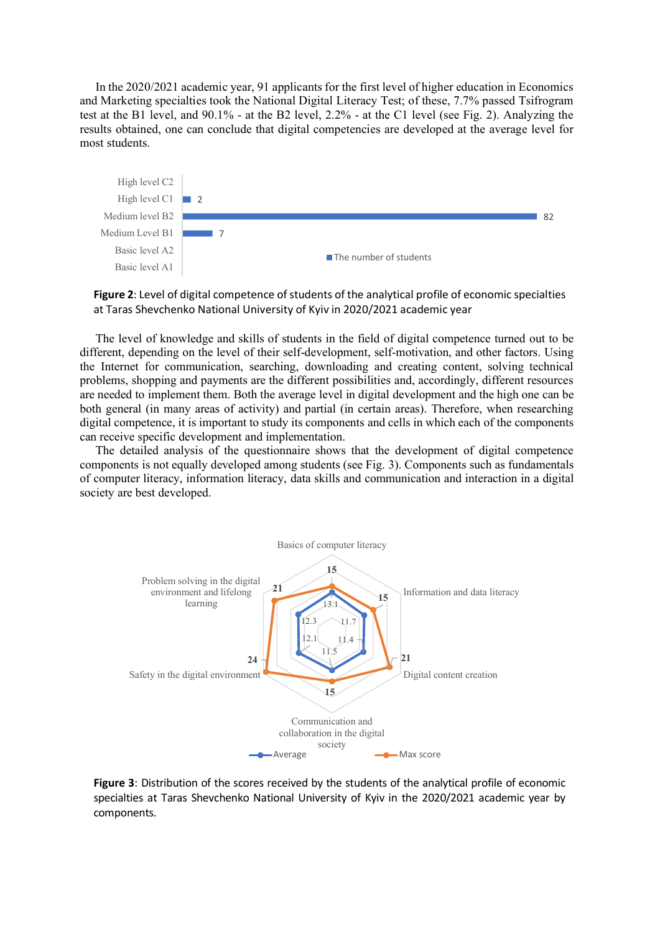In the 2020/2021 academic year, 91 applicants for the first level of higher education in Economics and Marketing specialties took the National Digital Literacy Test; of these, 7.7% passed Tsifrogram test at the B1 level, and 90.1% - at the B2 level, 2.2% - at the C1 level (see Fig. 2). Analyzing the results obtained, one can conclude that digital competencies are developed at the average level for most students.



Figure 2: Level of digital competence of students of the analytical profile of economic specialties at Taras Shevchenko National University of Kyiv in 2020/2021 academic year

The level of knowledge and skills of students in the field of digital competence turned out to be different, depending on the level of their self-development, self-motivation, and other factors. Using the Internet for communication, searching, downloading and creating content, solving technical problems, shopping and payments are the different possibilities and, accordingly, different resources are needed to implement them. Both the average level in digital development and the high one can be both general (in many areas of activity) and partial (in certain areas). Therefore, when researching digital competence, it is important to study its components and cells in which each of the components can receive specific development and implementation.

The detailed analysis of the questionnaire shows that the development of digital competence components is not equally developed among students (see Fig. 3). Components such as fundamentals of computer literacy, information literacy, data skills and communication and interaction in a digital society are best developed.



Figure 3: Distribution of the scores received by the students of the analytical profile of economic specialties at Taras Shevchenko National University of Kyiv in the 2020/2021 academic year by components.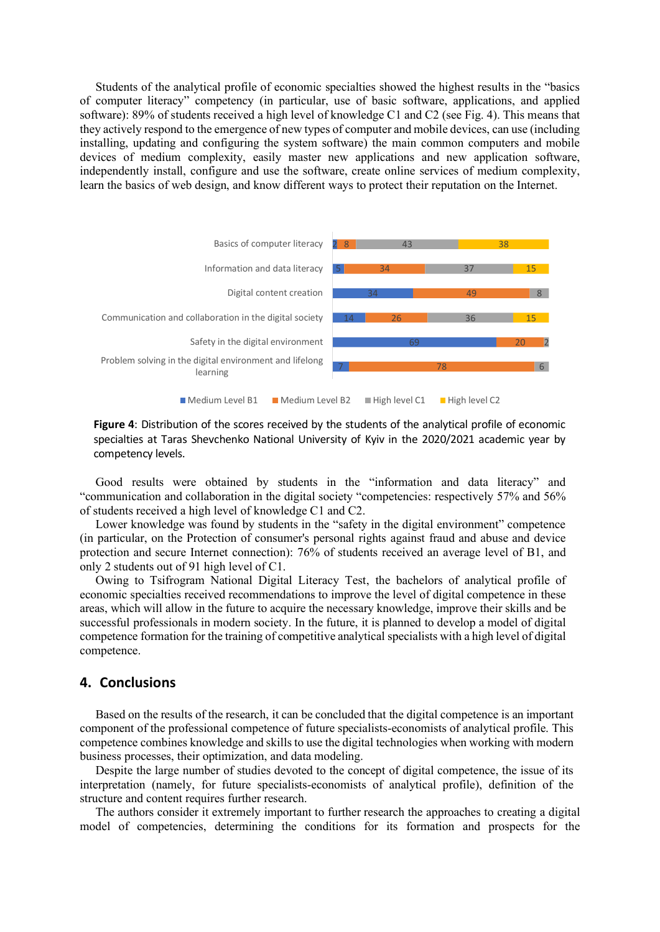Students of the analytical profile of economic specialties showed the highest results in the "basics of computer literacy" competency (in particular, use of basic software, applications, and applied software): 89% of students received a high level of knowledge C1 and C2 (see Fig. 4). This means that they actively respond to the emergence of new types of computer and mobile devices, can use (including installing, updating and configuring the system software) the main common computers and mobile devices of medium complexity, easily master new applications and new application software, independently install, configure and use the software, create online services of medium complexity, learn the basics of web design, and know different ways to protect their reputation on the Internet.



Figure 4: Distribution of the scores received by the students of the analytical profile of economic specialties at Taras Shevchenko National University of Kyiv in the 2020/2021 academic year by competency levels.

Good results were obtained by students in the "information and data literacy" and "communication and collaboration in the digital society "competencies: respectively 57% and 56% of students received a high level of knowledge C1 and C2.

Lower knowledge was found by students in the "safety in the digital environment" competence (in particular, on the Protection of consumer's personal rights against fraud and abuse and device protection and secure Internet connection): 76% of students received an average level of B1, and only 2 students out of 91 high level of C1.

Owing to Tsifrogram National Digital Literacy Test, the bachelors of analytical profile of economic specialties received recommendations to improve the level of digital competence in these areas, which will allow in the future to acquire the necessary knowledge, improve their skills and be successful professionals in modern society. In the future, it is planned to develop a model of digital competence formation for the training of competitive analytical specialists with a high level of digital competence.

### 4. Conclusions

Based on the results of the research, it can be concluded that the digital competence is an important component of the professional competence of future specialists-economists of analytical profile. This competence combines knowledge and skills to use the digital technologies when working with modern business processes, their optimization, and data modeling.

Despite the large number of studies devoted to the concept of digital competence, the issue of its interpretation (namely, for future specialists-economists of analytical profile), definition of the structure and content requires further research.

The authors consider it extremely important to further research the approaches to creating a digital model of competencies, determining the conditions for its formation and prospects for the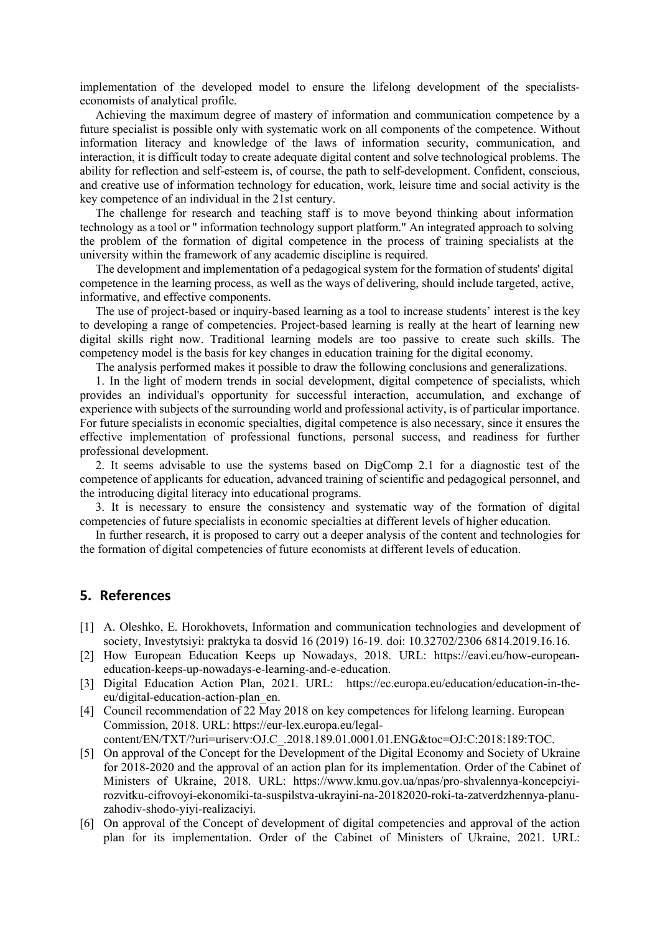implementation of the developed model to ensure the lifelong development of the specialistseconomists of analytical profile.

Achieving the maximum degree of mastery of information and communication competence by a future specialist is possible only with systematic work on all components of the competence. Without information literacy and knowledge of the laws of information security, communication, and interaction, it is difficult today to create adequate digital content and solve technological problems. The ability for reflection and self-esteem is, of course, the path to self-development. Confident, conscious, and creative use of information technology for education, work, leisure time and social activity is the key competence of an individual in the 21st century.

The challenge for research and teaching staff is to move beyond thinking about information technology as a tool or " information technology support platform." An integrated approach to solving the problem of the formation of digital competence in the process of training specialists at the university within the framework of any academic discipline is required.

The development and implementation of a pedagogical system for the formation of students' digital competence in the learning process, as well as the ways of delivering, should include targeted, active, informative, and effective components.

The use of project-based or inquiry-based learning as a tool to increase students' interest is the key to developing a range of competencies. Project-based learning is really at the heart of learning new digital skills right now. Traditional learning models are too passive to create such skills. The competency model is the basis for key changes in education training for the digital economy.

The analysis performed makes it possible to draw the following conclusions and generalizations.

1. In the light of modern trends in social development, digital competence of specialists, which provides an individual's opportunity for successful interaction, accumulation, and exchange of experience with subjects of the surrounding world and professional activity, is of particular importance. For future specialists in economic specialties, digital competence is also necessary, since it ensures the effective implementation of professional functions, personal success, and readiness for further professional development.

2. It seems advisable to use the systems based on DigComp 2.1 for a diagnostic test of the competence of applicants for education, advanced training of scientific and pedagogical personnel, and the introducing digital literacy into educational programs.

3. It is necessary to ensure the consistency and systematic way of the formation of digital competencies of future specialists in economic specialties at different levels of higher education.

In further research, it is proposed to carry out a deeper analysis of the content and technologies for the formation of digital competencies of future economists at different levels of education.

## 5. References

- [1] A. Oleshko, E. Horokhovets, Information and communication technologies and development of society, Investytsiyi: praktyka ta dosvid 16 (2019) 16-19. doi: 10.32702/2306 6814.2019.16.16.
- [2] How European Education Keeps up Nowadays, 2018. URL: https://eavi.eu/how-europeaneducation-keeps-up-nowadays-e-learning-and-e-education.
- [3] Digital Education Action Plan, 2021. URL: https://ec.europa.eu/education/education-in-theeu/digital-education-action-plan\_en.
- [4] Council recommendation of 22 May 2018 on key competences for lifelong learning. European Commission, 2018. URL: https://eur-lex.europa.eu/legal-
- content/EN/TXT/?uri=uriserv:OJ.C\_.2018.189.01.0001.01.ENG&toc=OJ:C:2018:189:TOC. [5] On approval of the Concept for the Development of the Digital Economy and Society of Ukraine for 2018-2020 and the approval of an action plan for its implementation. Order of the Cabinet of Ministers of Ukraine, 2018. URL: https://www.kmu.gov.ua/npas/pro-shvalennya-koncepciyirozvitku-cifrovoyi-ekonomiki-ta-suspilstva-ukrayini-na-20182020-roki-ta-zatverdzhennya-planuzahodiv-shodo-yiyi-realizaciyi.
- [6] On approval of the Concept of development of digital competencies and approval of the action plan for its implementation. Order of the Cabinet of Ministers of Ukraine, 2021. URL: